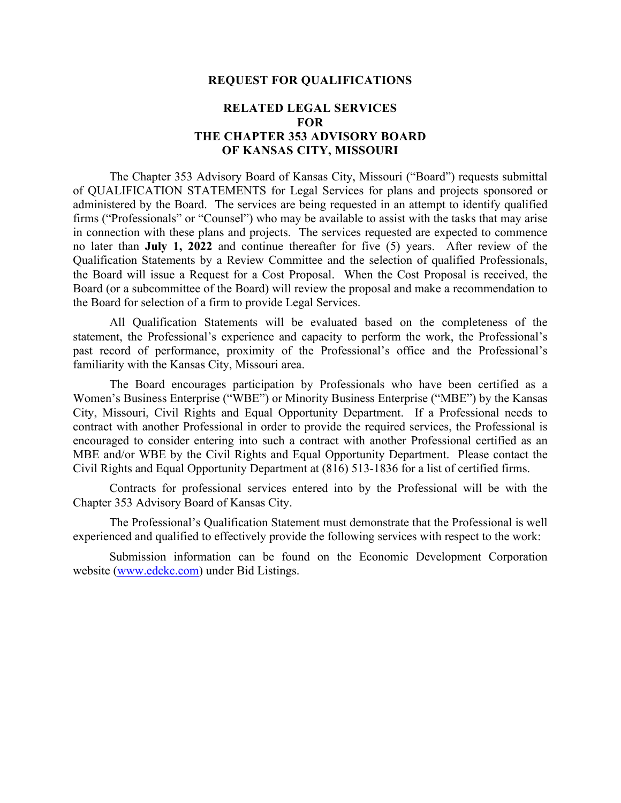#### **REQUEST FOR QUALIFICATIONS**

#### **RELATED LEGAL SERVICES FOR THE CHAPTER 353 ADVISORY BOARD OF KANSAS CITY, MISSOURI**

The Chapter 353 Advisory Board of Kansas City, Missouri ("Board") requests submittal of QUALIFICATION STATEMENTS for Legal Services for plans and projects sponsored or administered by the Board. The services are being requested in an attempt to identify qualified firms ("Professionals" or "Counsel") who may be available to assist with the tasks that may arise in connection with these plans and projects. The services requested are expected to commence no later than **July 1, 2022** and continue thereafter for five (5) years. After review of the Qualification Statements by a Review Committee and the selection of qualified Professionals, the Board will issue a Request for a Cost Proposal. When the Cost Proposal is received, the Board (or a subcommittee of the Board) will review the proposal and make a recommendation to the Board for selection of a firm to provide Legal Services.

All Qualification Statements will be evaluated based on the completeness of the statement, the Professional's experience and capacity to perform the work, the Professional's past record of performance, proximity of the Professional's office and the Professional's familiarity with the Kansas City, Missouri area.

The Board encourages participation by Professionals who have been certified as a Women's Business Enterprise ("WBE") or Minority Business Enterprise ("MBE") by the Kansas City, Missouri, Civil Rights and Equal Opportunity Department. If a Professional needs to contract with another Professional in order to provide the required services, the Professional is encouraged to consider entering into such a contract with another Professional certified as an MBE and/or WBE by the Civil Rights and Equal Opportunity Department. Please contact the Civil Rights and Equal Opportunity Department at (816) 513-1836 for a list of certified firms.

Contracts for professional services entered into by the Professional will be with the Chapter 353 Advisory Board of Kansas City.

The Professional's Qualification Statement must demonstrate that the Professional is well experienced and qualified to effectively provide the following services with respect to the work:

Submission information can be found on the Economic Development Corporation website (www.edckc.com) under Bid Listings.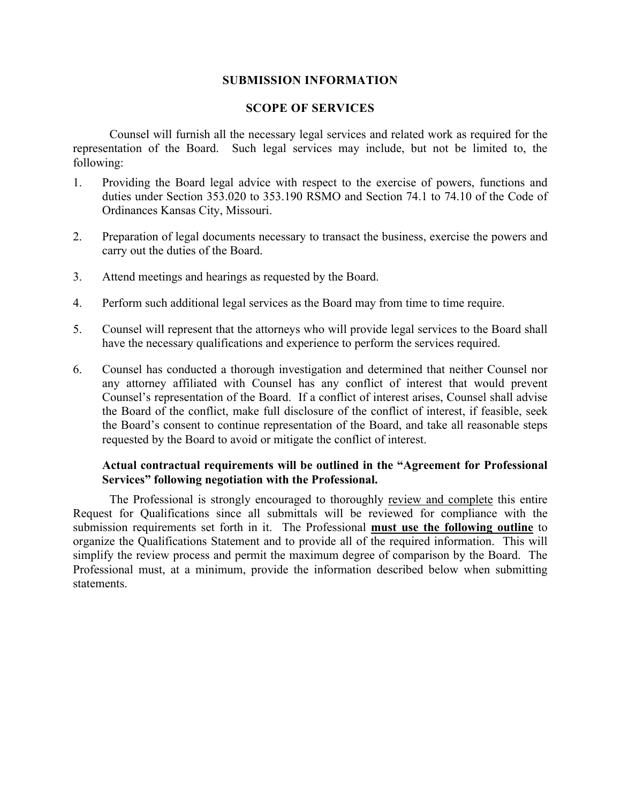#### **SUBMISSION INFORMATION**

#### **SCOPE OF SERVICES**

Counsel will furnish all the necessary legal services and related work as required for the representation of the Board. Such legal services may include, but not be limited to, the following:

- 1. Providing the Board legal advice with respect to the exercise of powers, functions and duties under Section 353.020 to 353.190 RSMO and Section 74.1 to 74.10 of the Code of Ordinances Kansas City, Missouri.
- 2. Preparation of legal documents necessary to transact the business, exercise the powers and carry out the duties of the Board.
- 3. Attend meetings and hearings as requested by the Board.
- 4. Perform such additional legal services as the Board may from time to time require.
- 5. Counsel will represent that the attorneys who will provide legal services to the Board shall have the necessary qualifications and experience to perform the services required.
- 6. Counsel has conducted a thorough investigation and determined that neither Counsel nor any attorney affiliated with Counsel has any conflict of interest that would prevent Counsel's representation of the Board. If a conflict of interest arises, Counsel shall advise the Board of the conflict, make full disclosure of the conflict of interest, if feasible, seek the Board's consent to continue representation of the Board, and take all reasonable steps requested by the Board to avoid or mitigate the conflict of interest.

#### **Actual contractual requirements will be outlined in the "Agreement for Professional Services" following negotiation with the Professional.**

The Professional is strongly encouraged to thoroughly review and complete this entire Request for Qualifications since all submittals will be reviewed for compliance with the submission requirements set forth in it. The Professional **must use the following outline** to organize the Qualifications Statement and to provide all of the required information. This will simplify the review process and permit the maximum degree of comparison by the Board. The Professional must, at a minimum, provide the information described below when submitting statements.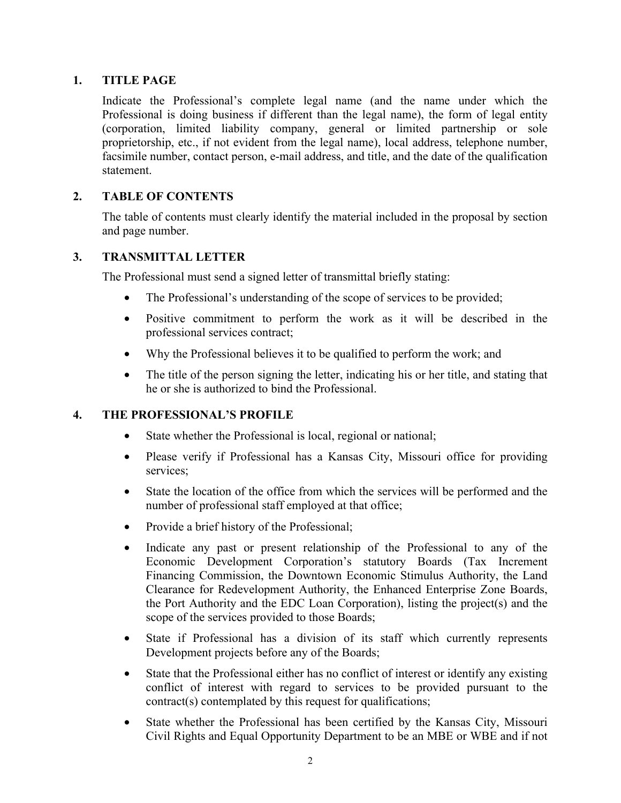## **1. TITLE PAGE**

Indicate the Professional's complete legal name (and the name under which the Professional is doing business if different than the legal name), the form of legal entity (corporation, limited liability company, general or limited partnership or sole proprietorship, etc., if not evident from the legal name), local address, telephone number, facsimile number, contact person, e-mail address, and title, and the date of the qualification statement.

## **2. TABLE OF CONTENTS**

The table of contents must clearly identify the material included in the proposal by section and page number.

## **3. TRANSMITTAL LETTER**

The Professional must send a signed letter of transmittal briefly stating:

- The Professional's understanding of the scope of services to be provided;
- Positive commitment to perform the work as it will be described in the professional services contract;
- Why the Professional believes it to be qualified to perform the work; and
- The title of the person signing the letter, indicating his or her title, and stating that he or she is authorized to bind the Professional.

# **4. THE PROFESSIONAL'S PROFILE**

- State whether the Professional is local, regional or national;
- Please verify if Professional has a Kansas City, Missouri office for providing services;
- State the location of the office from which the services will be performed and the number of professional staff employed at that office;
- Provide a brief history of the Professional;
- Indicate any past or present relationship of the Professional to any of the Economic Development Corporation's statutory Boards (Tax Increment Financing Commission, the Downtown Economic Stimulus Authority, the Land Clearance for Redevelopment Authority, the Enhanced Enterprise Zone Boards, the Port Authority and the EDC Loan Corporation), listing the project(s) and the scope of the services provided to those Boards;
- State if Professional has a division of its staff which currently represents Development projects before any of the Boards;
- State that the Professional either has no conflict of interest or identify any existing conflict of interest with regard to services to be provided pursuant to the contract(s) contemplated by this request for qualifications;
- State whether the Professional has been certified by the Kansas City, Missouri Civil Rights and Equal Opportunity Department to be an MBE or WBE and if not